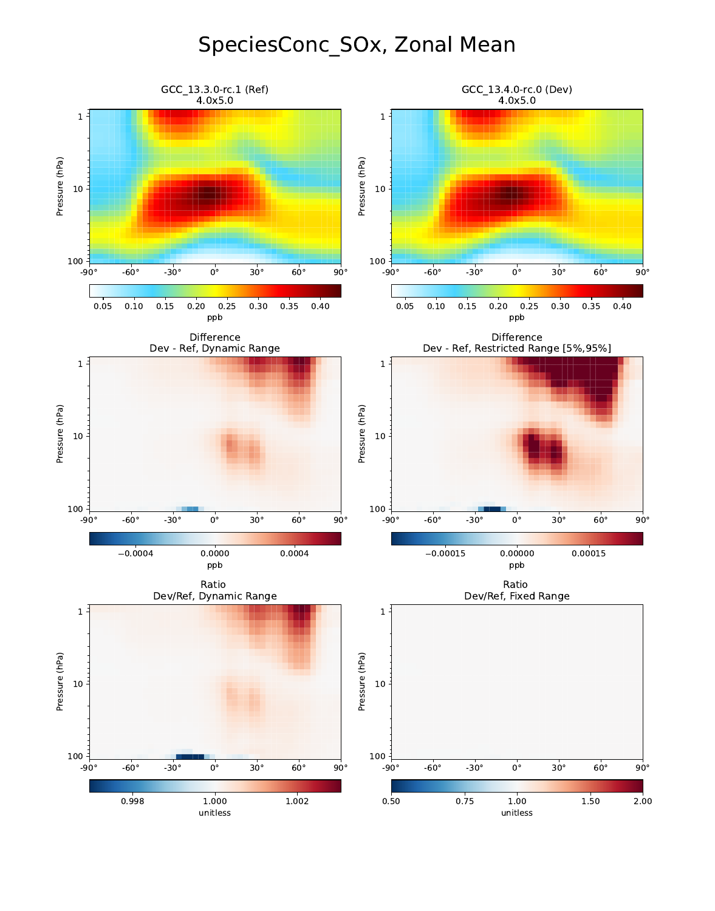# SpeciesConc\_SOx, Zonal Mean

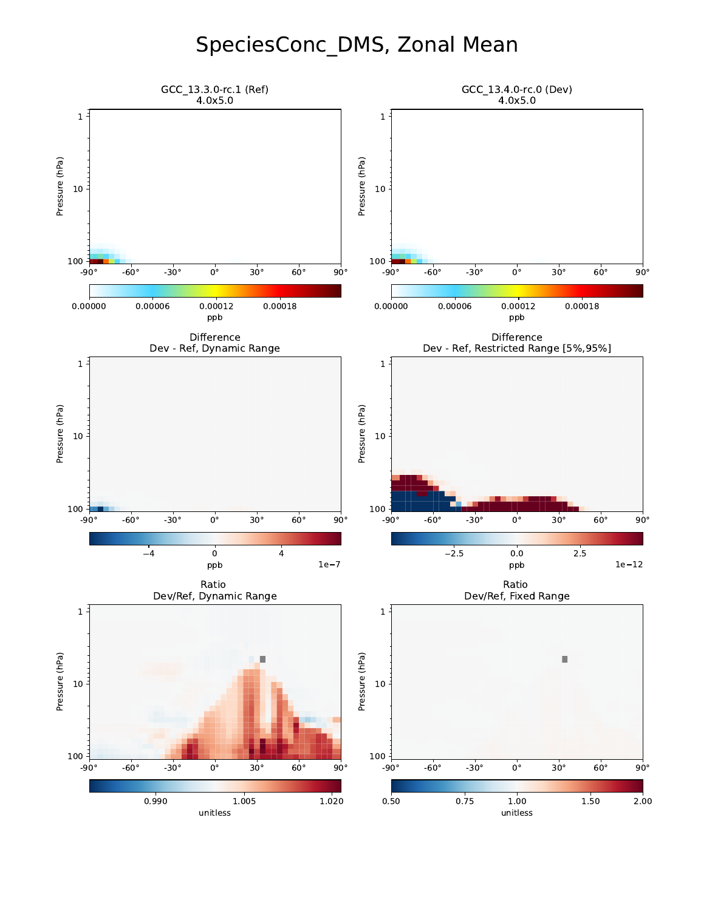# SpeciesConc\_DMS, Zonal Mean

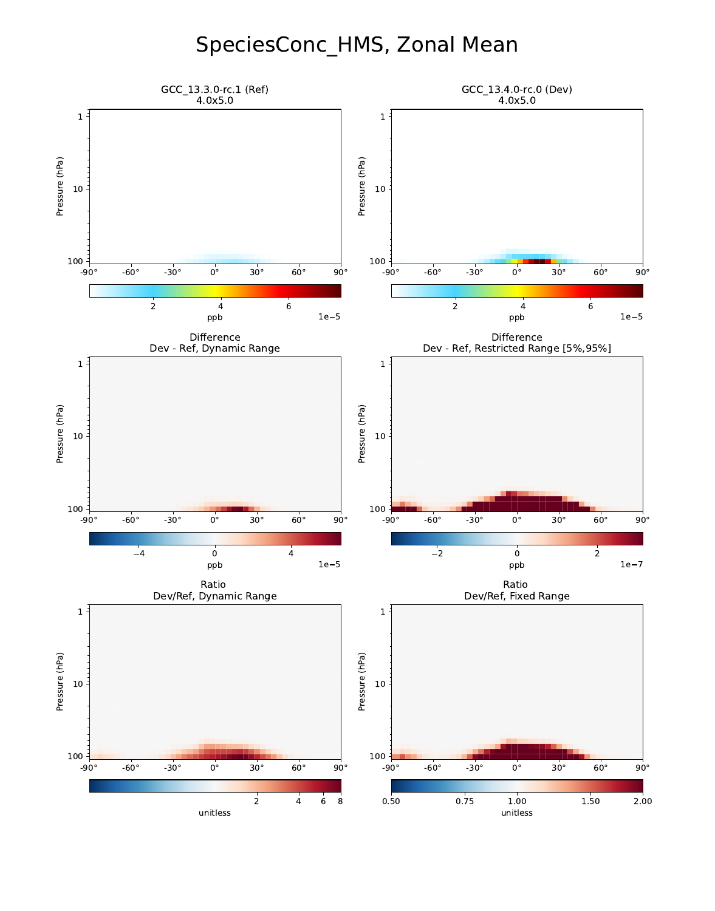### SpeciesConc\_HMS, Zonal Mean

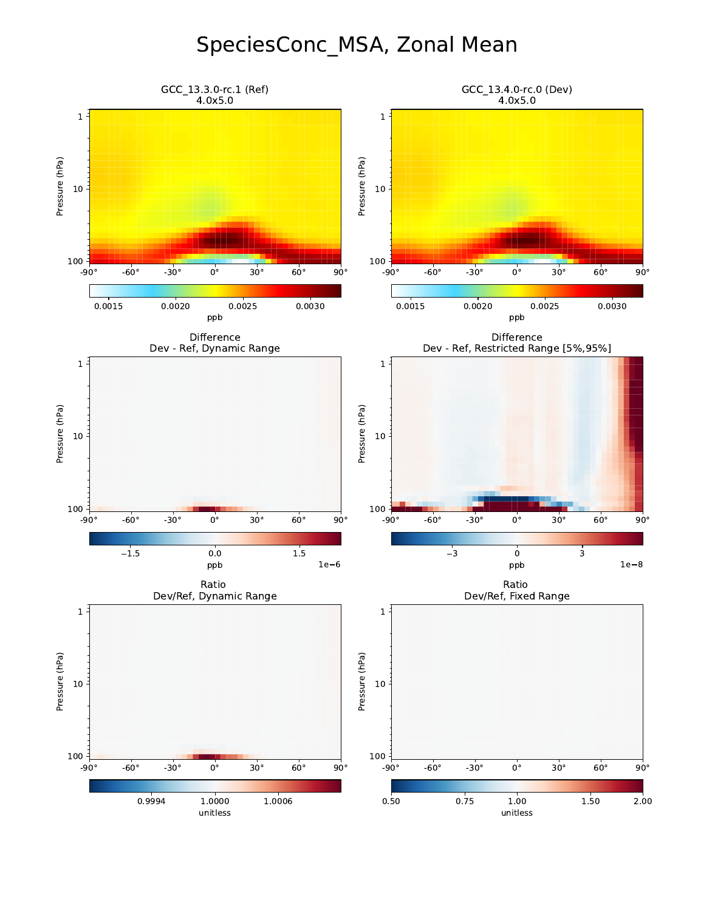### SpeciesConc\_MSA, Zonal Mean

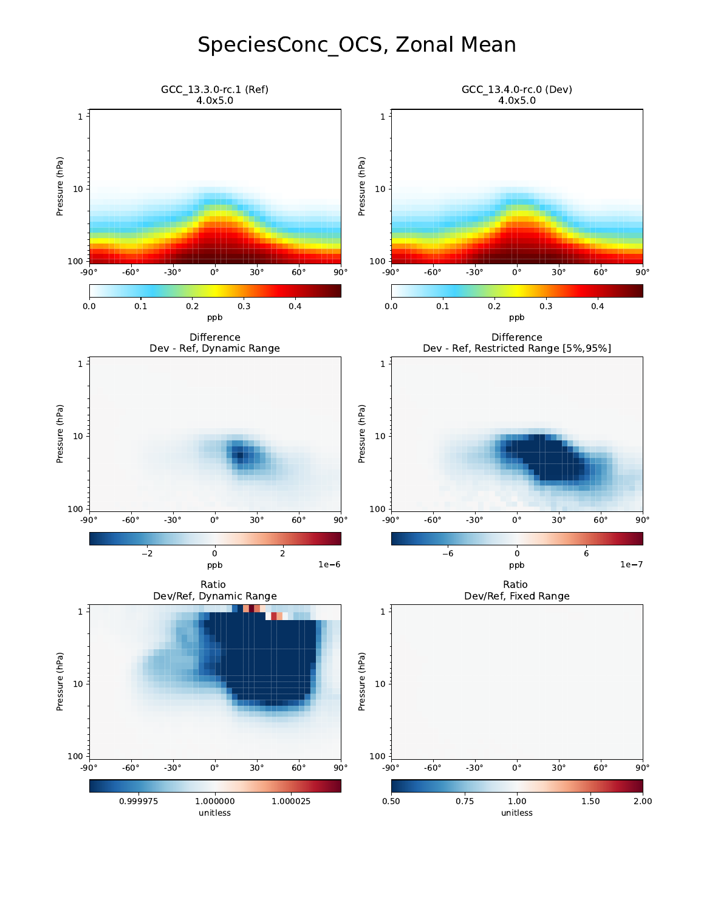# SpeciesConc\_OCS, Zonal Mean

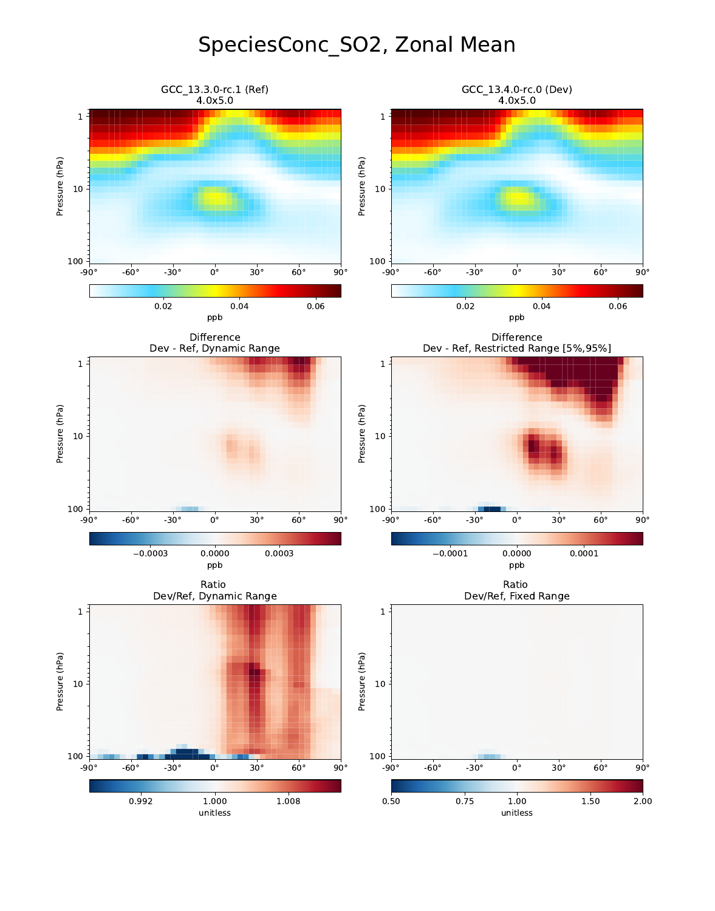# SpeciesConc\_SO2, Zonal Mean